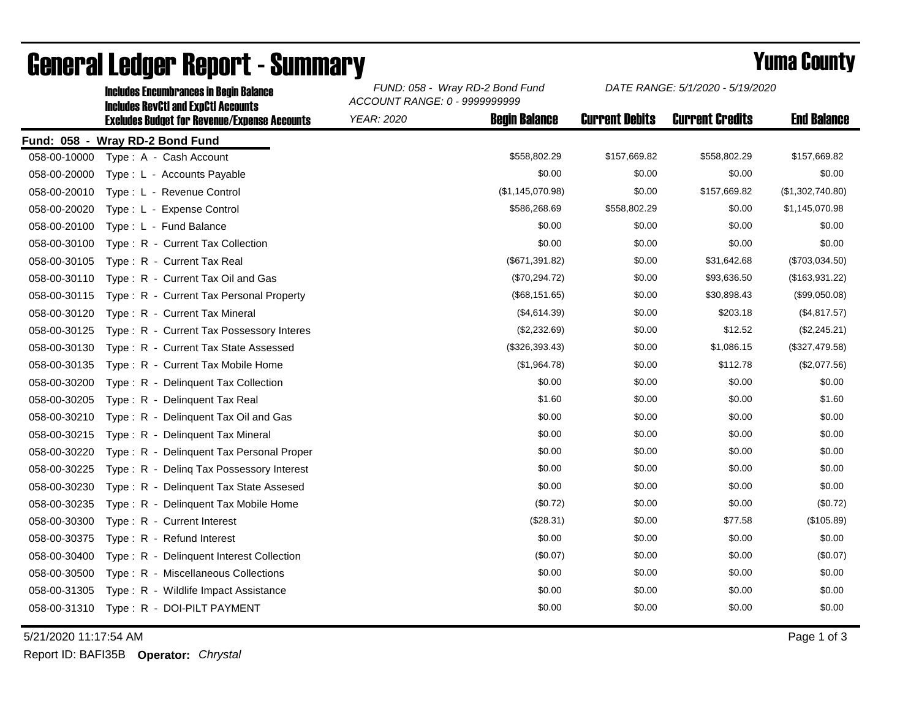|              | <b>Includes Encumbrances in Begin Balance</b><br><b>Includes RevCtI and ExpCtI Accounts</b> | FUND: 058 - Wray RD-2 Bond Fund<br>ACCOUNT RANGE: 0 - 9999999999 | DATE RANGE: 5/1/2020 - 5/19/2020 |                        |                    |
|--------------|---------------------------------------------------------------------------------------------|------------------------------------------------------------------|----------------------------------|------------------------|--------------------|
|              | <b>Excludes Budget for Revenue/Expense Accounts</b>                                         | <b>Begin Balance</b><br><b>YEAR: 2020</b>                        | <b>Current Debits</b>            | <b>Current Credits</b> | <b>End Balance</b> |
|              | Fund: 058 - Wray RD-2 Bond Fund                                                             |                                                                  |                                  |                        |                    |
| 058-00-10000 | Type: A - Cash Account                                                                      | \$558,802.29                                                     | \$157,669.82                     | \$558,802.29           | \$157,669.82       |
| 058-00-20000 | Type: L - Accounts Payable                                                                  | \$0.00                                                           | \$0.00                           | \$0.00                 | \$0.00             |
| 058-00-20010 | Type: L - Revenue Control                                                                   | (\$1,145,070.98)                                                 | \$0.00                           | \$157,669.82           | (\$1,302,740.80)   |
| 058-00-20020 | Type: L - Expense Control                                                                   | \$586,268.69                                                     | \$558,802.29                     | \$0.00                 | \$1,145,070.98     |
| 058-00-20100 | Type: L - Fund Balance                                                                      | \$0.00                                                           | \$0.00                           | \$0.00                 | \$0.00             |
| 058-00-30100 | Type: R - Current Tax Collection                                                            | \$0.00                                                           | \$0.00                           | \$0.00                 | \$0.00             |
| 058-00-30105 | Type: R - Current Tax Real                                                                  | (\$671,391.82)                                                   | \$0.00                           | \$31,642.68            | (\$703,034.50)     |
| 058-00-30110 | Type: R - Current Tax Oil and Gas                                                           | (\$70,294.72)                                                    | \$0.00                           | \$93,636.50            | (\$163,931.22)     |
| 058-00-30115 | Type: R - Current Tax Personal Property                                                     | (\$68,151.65)                                                    | \$0.00                           | \$30,898.43            | (\$99,050.08)      |
| 058-00-30120 | Type: R - Current Tax Mineral                                                               | (\$4,614.39)                                                     | \$0.00                           | \$203.18               | (\$4,817.57)       |
| 058-00-30125 | Type: R - Current Tax Possessory Interes                                                    | (\$2,232.69)                                                     | \$0.00                           | \$12.52                | (\$2,245.21)       |
| 058-00-30130 | Type: R - Current Tax State Assessed                                                        | (\$326,393.43)                                                   | \$0.00                           | \$1,086.15             | (\$327,479.58)     |
| 058-00-30135 | Type: R - Current Tax Mobile Home                                                           | (\$1,964.78)                                                     | \$0.00                           | \$112.78               | (\$2,077.56)       |
| 058-00-30200 | Type: R - Delinquent Tax Collection                                                         | \$0.00                                                           | \$0.00                           | \$0.00                 | \$0.00             |
| 058-00-30205 | Type: R - Delinquent Tax Real                                                               | \$1.60                                                           | \$0.00                           | \$0.00                 | \$1.60             |
| 058-00-30210 | Type: R - Delinquent Tax Oil and Gas                                                        | \$0.00                                                           | \$0.00                           | \$0.00                 | \$0.00             |
| 058-00-30215 | Type: R - Delinquent Tax Mineral                                                            | \$0.00                                                           | \$0.00                           | \$0.00                 | \$0.00             |
| 058-00-30220 | Type: R - Delinquent Tax Personal Proper                                                    | \$0.00                                                           | \$0.00                           | \$0.00                 | \$0.00             |
| 058-00-30225 | Type: R - Deling Tax Possessory Interest                                                    | \$0.00                                                           | \$0.00                           | \$0.00                 | \$0.00             |
| 058-00-30230 | Type: R - Delinquent Tax State Assesed                                                      | \$0.00                                                           | \$0.00                           | \$0.00                 | \$0.00             |
| 058-00-30235 | Type: R - Delinguent Tax Mobile Home                                                        | (\$0.72)                                                         | \$0.00                           | \$0.00                 | (\$0.72)           |
| 058-00-30300 | Type: R - Current Interest                                                                  | (\$28.31)                                                        | \$0.00                           | \$77.58                | (\$105.89)         |
| 058-00-30375 | Type: R - Refund Interest                                                                   | \$0.00                                                           | \$0.00                           | \$0.00                 | \$0.00             |
| 058-00-30400 | Type: R - Delinquent Interest Collection                                                    | (\$0.07)                                                         | \$0.00                           | \$0.00                 | (\$0.07)           |
| 058-00-30500 | Type: R - Miscellaneous Collections                                                         | \$0.00                                                           | \$0.00                           | \$0.00                 | \$0.00             |
| 058-00-31305 | Type: R - Wildlife Impact Assistance                                                        | \$0.00                                                           | \$0.00                           | \$0.00                 | \$0.00             |
| 058-00-31310 | Type: R - DOI-PILT PAYMENT                                                                  | \$0.00                                                           | \$0.00                           | \$0.00                 | \$0.00             |

## General Ledger Report - Summary **Example 2018** Yuma County

5/21/2020 11:17:54 AM Page 1 of 3

Report ID: BAFI35B **Operator:** *Chrystal*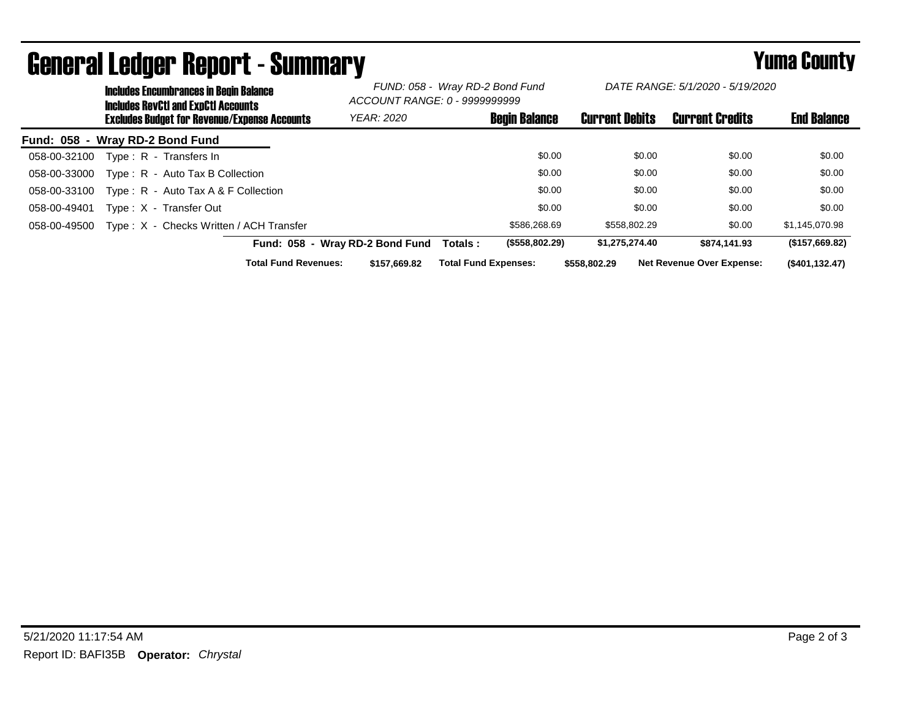|                                 | <b>Includes Encumbrances in Begin Balance</b><br><b>Includes RevCtI and ExpCtI Accounts</b><br><b>Excludes Budget for Revenue/Expense Accounts</b> |                                         | FUND: 058 - Wray RD-2 Bond Fund<br>ACCOUNT RANGE: 0 - 9999999999 |                             | DATE RANGE: 5/1/2020 - 5/19/2020 |                       |              |                                  |                    |
|---------------------------------|----------------------------------------------------------------------------------------------------------------------------------------------------|-----------------------------------------|------------------------------------------------------------------|-----------------------------|----------------------------------|-----------------------|--------------|----------------------------------|--------------------|
|                                 |                                                                                                                                                    |                                         | <b>YEAR: 2020</b>                                                |                             | <b>Begin Balance</b>             | <b>Current Debits</b> |              | <b>Current Credits</b>           | <b>End Balance</b> |
| Fund: 058 - Wray RD-2 Bond Fund |                                                                                                                                                    |                                         |                                                                  |                             |                                  |                       |              |                                  |                    |
| 058-00-32100                    |                                                                                                                                                    | Type: R - Transfers In                  |                                                                  |                             | \$0.00                           |                       | \$0.00       | \$0.00                           | \$0.00             |
| 058-00-33000                    |                                                                                                                                                    | Type: R - Auto Tax B Collection         |                                                                  |                             | \$0.00                           |                       | \$0.00       | \$0.00                           | \$0.00             |
| 058-00-33100                    |                                                                                                                                                    | Type: $R -$ Auto Tax A & F Collection   |                                                                  |                             | \$0.00                           |                       | \$0.00       | \$0.00                           | \$0.00             |
| 058-00-49401                    |                                                                                                                                                    | Type: X - Transfer Out                  |                                                                  |                             | \$0.00                           |                       | \$0.00       | \$0.00                           | \$0.00             |
| 058-00-49500                    |                                                                                                                                                    | Type: X - Checks Written / ACH Transfer |                                                                  |                             | \$586,268,69                     |                       | \$558,802.29 | \$0.00                           | \$1,145,070.98     |
|                                 |                                                                                                                                                    |                                         | Fund: 058 - Wray RD-2 Bond Fund                                  | Totals :                    | (\$558,802.29)                   | \$1,275,274.40        |              | \$874.141.93                     | (\$157,669.82)     |
|                                 |                                                                                                                                                    | <b>Total Fund Revenues:</b>             | \$157.669.82                                                     | <b>Total Fund Expenses:</b> |                                  | \$558.802.29          |              | <b>Net Revenue Over Expense:</b> | (\$401, 132.47)    |

## General Ledger Report - Summary **Example 2018** Yuma County